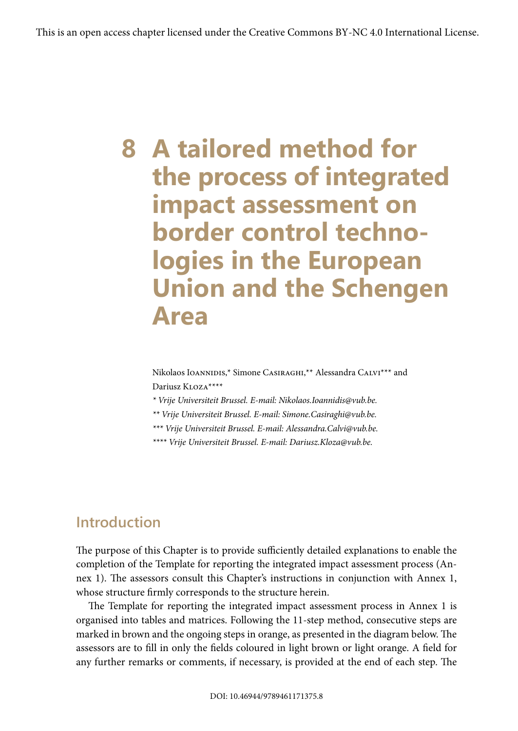# **8 A tailored method for the process of integrated impact assessment on border control technologies in the European Union and the Schengen Area**

Nikolaos Ioannipis,\* Simone Casiraghi,\*\* Alessandra Calvi\*\*\* and Dariusz Kloza\*\*\*\*

*\* Vrije Universiteit Brussel. E-mail: Nikolaos.Ioannidis@vub.be.*

*\*\* Vrije Universiteit Brussel. E-mail: Simone.Casiraghi@vub.be.*

*\*\*\* Vrije Universiteit Brussel. E-mail: Alessandra.Calvi@vub.be.*

*\*\*\*\* Vrije Universiteit Brussel. E-mail: Dariusz.Kloza@vub.be.*

# **Introduction**

The purpose of this Chapter is to provide sufficiently detailed explanations to enable the completion of the Template for reporting the integrated impact assessment process (Annex 1). The assessors consult this Chapter's instructions in conjunction with Annex 1, whose structure firmly corresponds to the structure herein.

The Template for reporting the integrated impact assessment process in Annex 1 is organised into tables and matrices. Following the 11-step method, consecutive steps are marked in brown and the ongoing steps in orange, as presented in the diagram below. The assessors are to fill in only the fields coloured in light brown or light orange. A field for any further remarks or comments, if necessary, is provided at the end of each step. The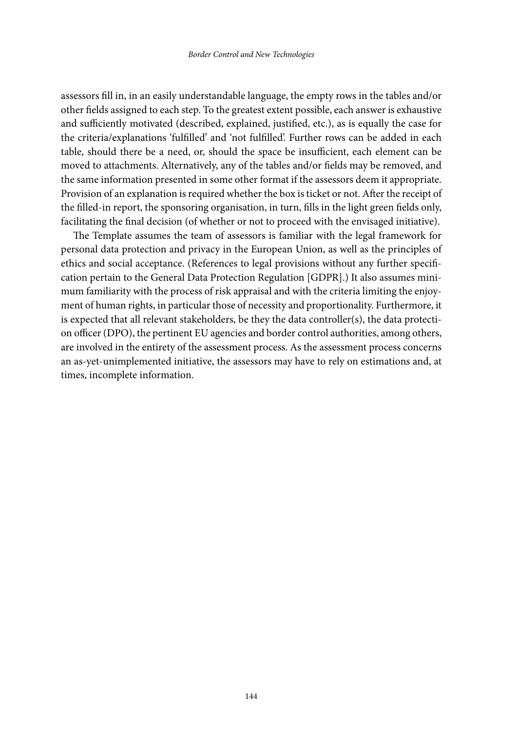assessors fill in, in an easily understandable language, the empty rows in the tables and/or other fields assigned to each step. To the greatest extent possible, each answer is exhaustive and sufficiently motivated (described, explained, justified, etc.), as is equally the case for the criteria/explanations 'fulfilled' and 'not fulfilled'. Further rows can be added in each table, should there be a need, or, should the space be insufficient, each element can be moved to attachments. Alternatively, any of the tables and/or fields may be removed, and the same information presented in some other format if the assessors deem it appropriate. Provision of an explanation is required whether the box is ticket or not. After the receipt of the filled-in report, the sponsoring organisation, in turn, fills in the light green fields only, facilitating the final decision (of whether or not to proceed with the envisaged initiative).

The Template assumes the team of assessors is familiar with the legal framework for personal data protection and privacy in the European Union, as well as the principles of ethics and social acceptance. (References to legal provisions without any further specification pertain to the General Data Protection Regulation [GDPR].) It also assumes minimum familiarity with the process of risk appraisal and with the criteria limiting the enjoyment of human rights, in particular those of necessity and proportionality. Furthermore, it is expected that all relevant stakeholders, be they the data controller(s), the data protection officer (DPO), the pertinent EU agencies and border control authorities, among others, are involved in the entirety of the assessment process. As the assessment process concerns an as-yet-unimplemented initiative, the assessors may have to rely on estimations and, at times, incomplete information.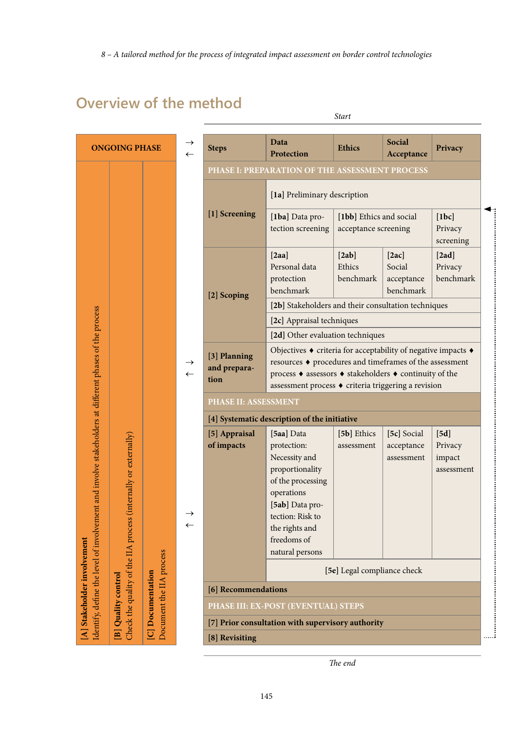# **Overview of the method**

| <b>ONGOING PHASE</b>                                                                                  |                          | $\leftarrow$                  | <b>Steps</b>                                   | Data<br>Protection                                                                                                                                                                                                                                                                            | <b>Ethics</b>                                   | Social<br>Acceptance                       | Privacy                                 |
|-------------------------------------------------------------------------------------------------------|--------------------------|-------------------------------|------------------------------------------------|-----------------------------------------------------------------------------------------------------------------------------------------------------------------------------------------------------------------------------------------------------------------------------------------------|-------------------------------------------------|--------------------------------------------|-----------------------------------------|
|                                                                                                       |                          |                               | PHASE I: PREPARATION OF THE ASSESSMENT PROCESS |                                                                                                                                                                                                                                                                                               |                                                 |                                            |                                         |
|                                                                                                       |                          |                               | [1] Screening                                  | [1a] Preliminary description                                                                                                                                                                                                                                                                  |                                                 |                                            |                                         |
|                                                                                                       |                          |                               |                                                | [1ba] Data pro-<br>tection screening                                                                                                                                                                                                                                                          | [1bb] Ethics and social<br>acceptance screening |                                            | [1bc]<br>Privacy<br>screening           |
| identify, define the level of involvement and involve stakeholders at different phases of the process |                          |                               | [2] Scoping                                    | [2aa]<br>Personal data<br>protection<br>benchmark<br>[2b] Stakeholders and their consultation techniques<br>[2c] Appraisal techniques                                                                                                                                                         | [2ab]<br>Ethics<br>benchmark                    | [2ac]<br>Social<br>acceptance<br>benchmark | [2ad]<br>Privacy<br>benchmark           |
|                                                                                                       |                          | $\rightarrow$<br>$\leftarrow$ | [3] Planning<br>and prepara-<br>tion           | [2d] Other evaluation techniques<br>Objectives $\bullet$ criteria for acceptability of negative impacts $\bullet$<br>resources ♦ procedures and timeframes of the assessment<br>process ♦ assessors ♦ stakeholders ♦ continuity of the<br>assessment process ♦ criteria triggering a revision |                                                 |                                            |                                         |
|                                                                                                       |                          |                               | <b>PHASE II: ASSESSMENT</b>                    |                                                                                                                                                                                                                                                                                               |                                                 |                                            |                                         |
|                                                                                                       |                          |                               | [4] Systematic description of the initiative   |                                                                                                                                                                                                                                                                                               |                                                 |                                            |                                         |
| Check the quality of the IIA process (internally or externally)                                       |                          | $\rightarrow$<br>$\leftarrow$ | [5] Appraisal<br>of impacts                    | [5aa] Data<br>protection:<br>Necessity and<br>proportionality<br>of the processing<br>operations<br>[5ab] Data pro-<br>tection: Risk to<br>the rights and<br>freedoms of<br>natural persons                                                                                                   | [5b] Ethics<br>assessment                       | [5c] Social<br>acceptance<br>assessment    | [5d]<br>Privacy<br>impact<br>assessment |
|                                                                                                       | Document the IIA process |                               |                                                |                                                                                                                                                                                                                                                                                               | [5e] Legal compliance check                     |                                            |                                         |
| B] Quality control                                                                                    | [C] Documentation        |                               | [6] Recommendations                            |                                                                                                                                                                                                                                                                                               |                                                 |                                            |                                         |
|                                                                                                       |                          |                               |                                                | PHASE III: EX-POST (EVENTUAL) STEPS                                                                                                                                                                                                                                                           |                                                 |                                            |                                         |
|                                                                                                       |                          |                               |                                                | [7] Prior consultation with supervisory authority                                                                                                                                                                                                                                             |                                                 |                                            |                                         |
|                                                                                                       |                          |                               | [8] Revisiting                                 |                                                                                                                                                                                                                                                                                               |                                                 |                                            |                                         |

*Start*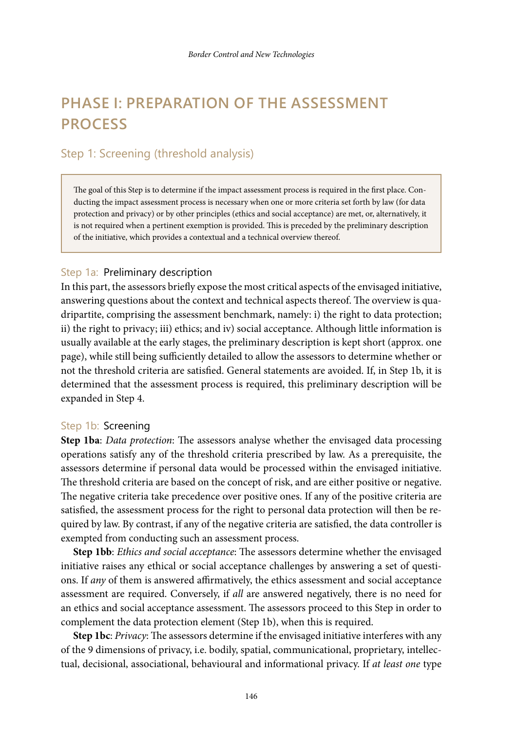# **PHASE I: PREPARATION OF THE ASSESSMENT PROCESS**

# Step 1: Screening (threshold analysis)

The goal of this Step is to determine if the impact assessment process is required in the first place. Conducting the impact assessment process is necessary when one or more criteria set forth by law (for data protection and privacy) or by other principles (ethics and social acceptance) are met, or, alternatively, it is not required when a pertinent exemption is provided. This is preceded by the preliminary description of the initiative, which provides a contextual and a technical overview thereof.

## Step 1a: Preliminary description

In this part, the assessors briefly expose the most critical aspects of the envisaged initiative, answering questions about the context and technical aspects thereof. The overview is quadripartite, comprising the assessment benchmark, namely: i) the right to data protection; ii) the right to privacy; iii) ethics; and iv) social acceptance. Although little information is usually available at the early stages, the preliminary description is kept short (approx. one page), while still being sufficiently detailed to allow the assessors to determine whether or not the threshold criteria are satisfied. General statements are avoided. If, in Step 1b, it is determined that the assessment process is required, this preliminary description will be expanded in Step 4.

#### Step 1b: Screening

**Step 1ba**: *Data protection*: The assessors analyse whether the envisaged data processing operations satisfy any of the threshold criteria prescribed by law. As a prerequisite, the assessors determine if personal data would be processed within the envisaged initiative. The threshold criteria are based on the concept of risk, and are either positive or negative. The negative criteria take precedence over positive ones. If any of the positive criteria are satisfied, the assessment process for the right to personal data protection will then be required by law. By contrast, if any of the negative criteria are satisfied, the data controller is exempted from conducting such an assessment process.

**Step 1bb**: *Ethics and social acceptance*: The assessors determine whether the envisaged initiative raises any ethical or social acceptance challenges by answering a set of questions. If *any* of them is answered affirmatively, the ethics assessment and social acceptance assessment are required. Conversely, if *all* are answered negatively, there is no need for an ethics and social acceptance assessment. The assessors proceed to this Step in order to complement the data protection element (Step 1b), when this is required.

**Step 1bc**: *Privacy*: The assessors determine if the envisaged initiative interferes with any of the 9 dimensions of privacy, i.e. bodily, spatial, communicational, proprietary, intellectual, decisional, associational, behavioural and informational privacy. If *at least one* type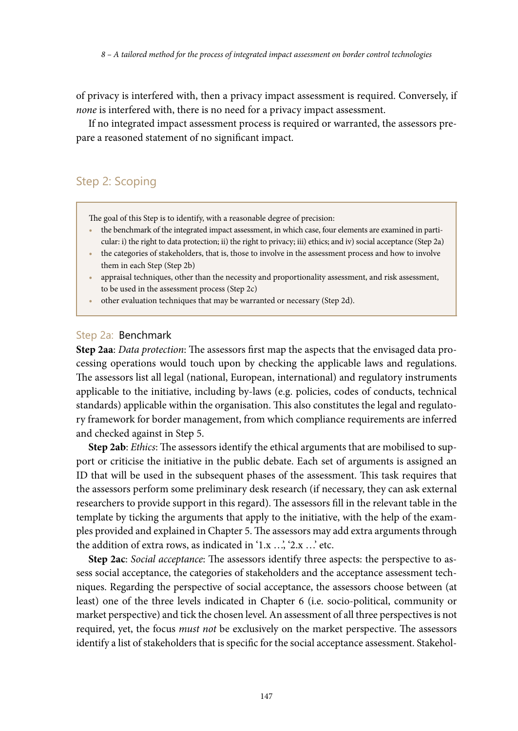of privacy is interfered with, then a privacy impact assessment is required. Conversely, if *none* is interfered with, there is no need for a privacy impact assessment.

If no integrated impact assessment process is required or warranted, the assessors prepare a reasoned statement of no significant impact.

# Step 2: Scoping

The goal of this Step is to identify, with a reasonable degree of precision:

- **•** the benchmark of the integrated impact assessment, in which case, four elements are examined in particular: i) the right to data protection; ii) the right to privacy; iii) ethics; and iv) social acceptance (Step 2a)
- the categories of stakeholders, that is, those to involve in the assessment process and how to involve them in each Step (Step 2b)
- appraisal techniques, other than the necessity and proportionality assessment, and risk assessment, to be used in the assessment process (Step 2c)
- **•** other evaluation techniques that may be warranted or necessary (Step 2d).

## Step 2a: Benchmark

**Step 2aa**: *Data protection*: The assessors first map the aspects that the envisaged data processing operations would touch upon by checking the applicable laws and regulations. The assessors list all legal (national, European, international) and regulatory instruments applicable to the initiative, including by-laws (e.g. policies, codes of conducts, technical standards) applicable within the organisation. This also constitutes the legal and regulatory framework for border management, from which compliance requirements are inferred and checked against in Step 5.

**Step 2ab**: *Ethics*: The assessors identify the ethical arguments that are mobilised to support or criticise the initiative in the public debate. Each set of arguments is assigned an ID that will be used in the subsequent phases of the assessment. This task requires that the assessors perform some preliminary desk research (if necessary, they can ask external researchers to provide support in this regard). The assessors fill in the relevant table in the template by ticking the arguments that apply to the initiative, with the help of the examples provided and explained in Chapter 5. The assessors may add extra arguments through the addition of extra rows, as indicated in  $1.x$   $\ldots$ ,  $2.x$   $\ldots$  etc.

**Step 2ac**: *Social acceptance*: The assessors identify three aspects: the perspective to assess social acceptance, the categories of stakeholders and the acceptance assessment techniques. Regarding the perspective of social acceptance, the assessors choose between (at least) one of the three levels indicated in Chapter 6 (i.e. socio-political, community or market perspective) and tick the chosen level. An assessment of all three perspectives is not required, yet, the focus *must not* be exclusively on the market perspective. The assessors identify a list of stakeholders that is specific for the social acceptance assessment. Stakehol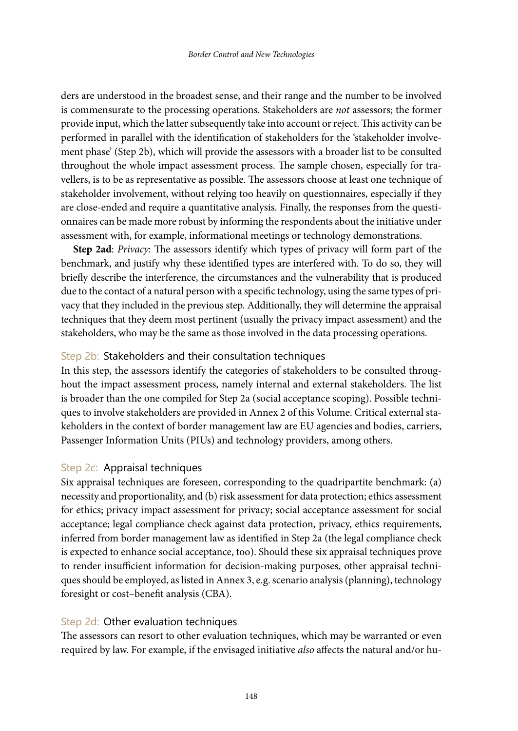ders are understood in the broadest sense, and their range and the number to be involved is commensurate to the processing operations. Stakeholders are *not* assessors; the former provide input, which the latter subsequently take into account or reject. This activity can be performed in parallel with the identification of stakeholders for the 'stakeholder involvement phase' (Step 2b), which will provide the assessors with a broader list to be consulted throughout the whole impact assessment process. The sample chosen, especially for travellers, is to be as representative as possible. The assessors choose at least one technique of stakeholder involvement, without relying too heavily on questionnaires, especially if they are close-ended and require a quantitative analysis. Finally, the responses from the questionnaires can be made more robust by informing the respondents about the initiative under assessment with, for example, informational meetings or technology demonstrations.

**Step 2ad**: *Privacy*: The assessors identify which types of privacy will form part of the benchmark, and justify why these identified types are interfered with. To do so, they will briefly describe the interference, the circumstances and the vulnerability that is produced due to the contact of a natural person with a specific technology, using the same types of privacy that they included in the previous step. Additionally, they will determine the appraisal techniques that they deem most pertinent (usually the privacy impact assessment) and the stakeholders, who may be the same as those involved in the data processing operations.

#### Step 2b: Stakeholders and their consultation techniques

In this step, the assessors identify the categories of stakeholders to be consulted throughout the impact assessment process, namely internal and external stakeholders. The list is broader than the one compiled for Step 2a (social acceptance scoping). Possible techniques to involve stakeholders are provided in Annex 2 of this Volume. Critical external stakeholders in the context of border management law are EU agencies and bodies, carriers, Passenger Information Units (PIUs) and technology providers, among others.

#### Step 2c: Appraisal techniques

Six appraisal techniques are foreseen, corresponding to the quadripartite benchmark: (a) necessity and proportionality, and (b) risk assessment for data protection; ethics assessment for ethics; privacy impact assessment for privacy; social acceptance assessment for social acceptance; legal compliance check against data protection, privacy, ethics requirements, inferred from border management law as identified in Step 2a (the legal compliance check is expected to enhance social acceptance, too). Should these six appraisal techniques prove to render insufficient information for decision-making purposes, other appraisal techniques should be employed, as listed in Annex 3, e.g. scenario analysis (planning), technology foresight or cost–benefit analysis (CBA).

#### Step 2d: Other evaluation techniques

The assessors can resort to other evaluation techniques, which may be warranted or even required by law. For example, if the envisaged initiative *also* affects the natural and/or hu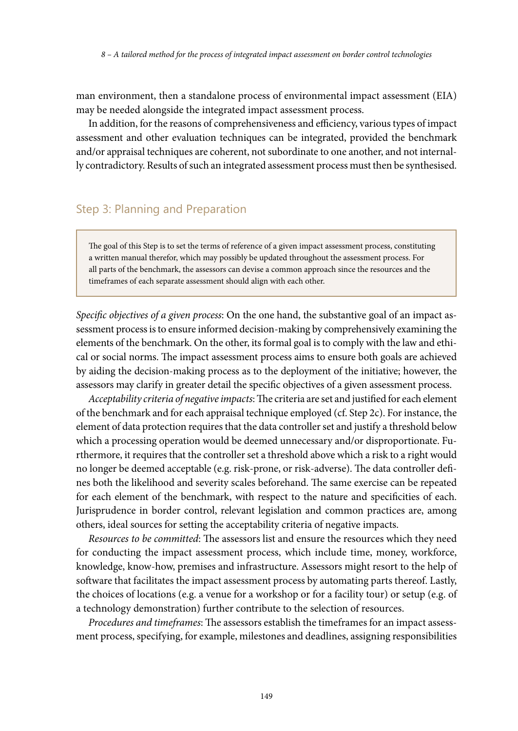man environment, then a standalone process of environmental impact assessment (EIA) may be needed alongside the integrated impact assessment process.

In addition, for the reasons of comprehensiveness and efficiency, various types of impact assessment and other evaluation techniques can be integrated, provided the benchmark and/or appraisal techniques are coherent, not subordinate to one another, and not internally contradictory. Results of such an integrated assessment process must then be synthesised.

# Step 3: Planning and Preparation

The goal of this Step is to set the terms of reference of a given impact assessment process, constituting a written manual therefor, which may possibly be updated throughout the assessment process. For all parts of the benchmark, the assessors can devise a common approach since the resources and the timeframes of each separate assessment should align with each other.

*Specific objectives of a given process*: On the one hand, the substantive goal of an impact assessment process is to ensure informed decision-making by comprehensively examining the elements of the benchmark. On the other, its formal goal is to comply with the law and ethical or social norms. The impact assessment process aims to ensure both goals are achieved by aiding the decision-making process as to the deployment of the initiative; however, the assessors may clarify in greater detail the specific objectives of a given assessment process.

*Acceptability criteria of negative impacts*: The criteria are set and justified for each element of the benchmark and for each appraisal technique employed (cf. Step 2c). For instance, the element of data protection requires that the data controller set and justify a threshold below which a processing operation would be deemed unnecessary and/or disproportionate. Furthermore, it requires that the controller set a threshold above which a risk to a right would no longer be deemed acceptable (e.g. risk-prone, or risk-adverse). The data controller defines both the likelihood and severity scales beforehand. The same exercise can be repeated for each element of the benchmark, with respect to the nature and specificities of each. Jurisprudence in border control, relevant legislation and common practices are, among others, ideal sources for setting the acceptability criteria of negative impacts.

*Resources to be committed*: The assessors list and ensure the resources which they need for conducting the impact assessment process, which include time, money, workforce, knowledge, know-how, premises and infrastructure. Assessors might resort to the help of software that facilitates the impact assessment process by automating parts thereof. Lastly, the choices of locations (e.g. a venue for a workshop or for a facility tour) or setup (e.g. of a technology demonstration) further contribute to the selection of resources.

*Procedures and timeframes*: The assessors establish the timeframes for an impact assessment process, specifying, for example, milestones and deadlines, assigning responsibilities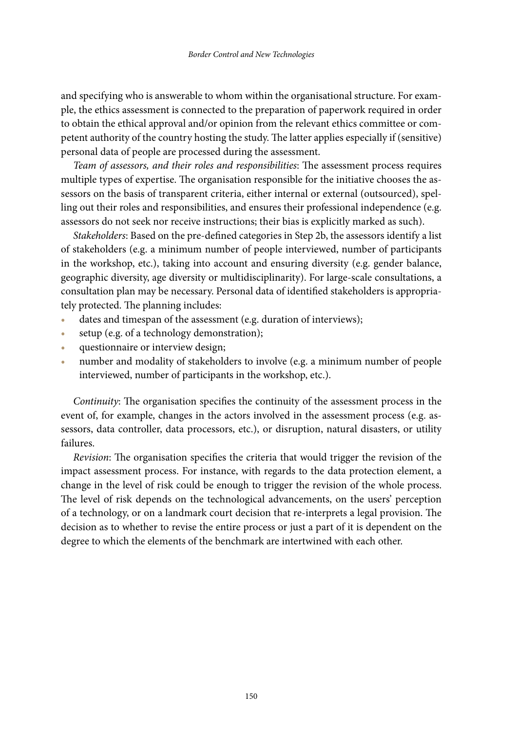and specifying who is answerable to whom within the organisational structure. For example, the ethics assessment is connected to the preparation of paperwork required in order to obtain the ethical approval and/or opinion from the relevant ethics committee or competent authority of the country hosting the study. The latter applies especially if (sensitive) personal data of people are processed during the assessment.

*Team of assessors, and their roles and responsibilities*: The assessment process requires multiple types of expertise. The organisation responsible for the initiative chooses the assessors on the basis of transparent criteria, either internal or external (outsourced), spelling out their roles and responsibilities, and ensures their professional independence (e.g. assessors do not seek nor receive instructions; their bias is explicitly marked as such).

*Stakeholders*: Based on the pre-defined categories in Step 2b, the assessors identify a list of stakeholders (e.g. a minimum number of people interviewed, number of participants in the workshop, etc.), taking into account and ensuring diversity (e.g. gender balance, geographic diversity, age diversity or multidisciplinarity). For large-scale consultations, a consultation plan may be necessary. Personal data of identified stakeholders is appropriately protected. The planning includes:

- dates and timespan of the assessment (e.g. duration of interviews);
- **•** setup (e.g. of a technology demonstration);
- **•** questionnaire or interview design;
- **•** number and modality of stakeholders to involve (e.g. a minimum number of people interviewed, number of participants in the workshop, etc.).

*Continuity*: The organisation specifies the continuity of the assessment process in the event of, for example, changes in the actors involved in the assessment process (e.g. assessors, data controller, data processors, etc.), or disruption, natural disasters, or utility failures.

*Revision*: The organisation specifies the criteria that would trigger the revision of the impact assessment process. For instance, with regards to the data protection element, a change in the level of risk could be enough to trigger the revision of the whole process. The level of risk depends on the technological advancements, on the users' perception of a technology, or on a landmark court decision that re-interprets a legal provision. The decision as to whether to revise the entire process or just a part of it is dependent on the degree to which the elements of the benchmark are intertwined with each other.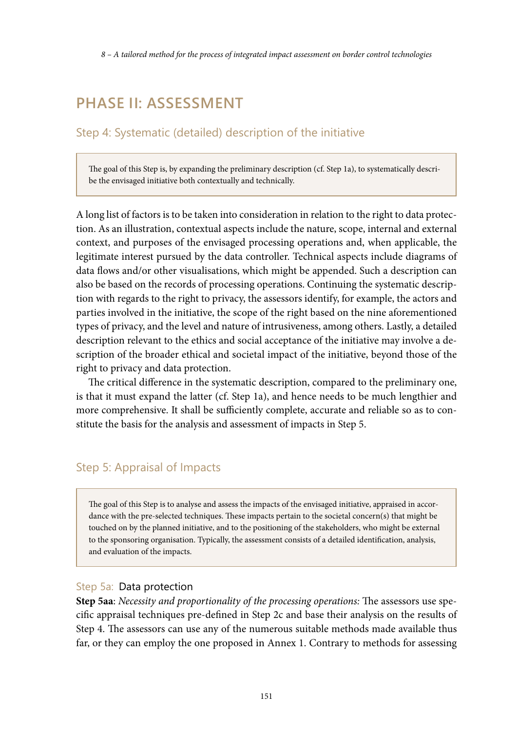*8 – A tailored method for the process of integrated impact assessment on border control technologies*

# **PHASE II: ASSESSMENT**

# Step 4: Systematic (detailed) description of the initiative

The goal of this Step is, by expanding the preliminary description (cf. Step 1a), to systematically describe the envisaged initiative both contextually and technically.

A long list of factors is to be taken into consideration in relation to the right to data protection. As an illustration, contextual aspects include the nature, scope, internal and external context, and purposes of the envisaged processing operations and, when applicable, the legitimate interest pursued by the data controller. Technical aspects include diagrams of data flows and/or other visualisations, which might be appended. Such a description can also be based on the records of processing operations. Continuing the systematic description with regards to the right to privacy, the assessors identify, for example, the actors and parties involved in the initiative, the scope of the right based on the nine aforementioned types of privacy, and the level and nature of intrusiveness, among others. Lastly, a detailed description relevant to the ethics and social acceptance of the initiative may involve a description of the broader ethical and societal impact of the initiative, beyond those of the right to privacy and data protection.

The critical difference in the systematic description, compared to the preliminary one, is that it must expand the latter (cf. Step 1a), and hence needs to be much lengthier and more comprehensive. It shall be sufficiently complete, accurate and reliable so as to constitute the basis for the analysis and assessment of impacts in Step 5.

# Step 5: Appraisal of Impacts

The goal of this Step is to analyse and assess the impacts of the envisaged initiative, appraised in accordance with the pre-selected techniques. These impacts pertain to the societal concern(s) that might be touched on by the planned initiative, and to the positioning of the stakeholders, who might be external to the sponsoring organisation. Typically, the assessment consists of a detailed identification, analysis, and evaluation of the impacts.

#### Step 5a: Data protection

**Step 5aa**: *Necessity and proportionality of the processing operations:* The assessors use specific appraisal techniques pre-defined in Step 2c and base their analysis on the results of Step 4. The assessors can use any of the numerous suitable methods made available thus far, or they can employ the one proposed in Annex 1. Contrary to methods for assessing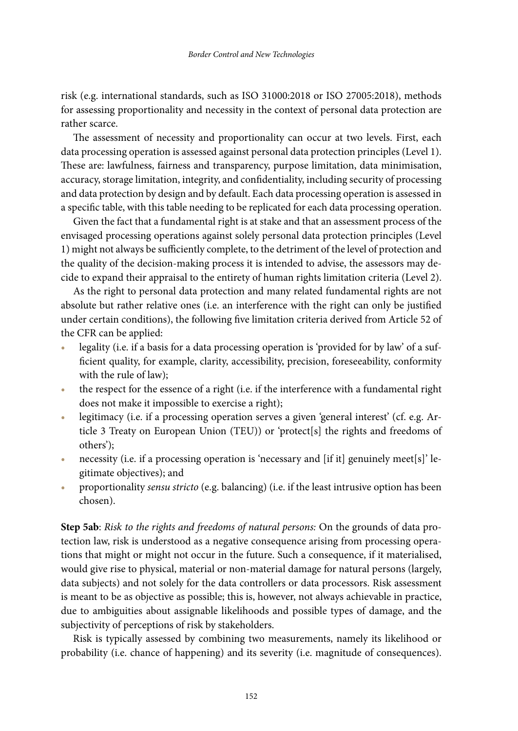risk (e.g. international standards, such as ISO 31000:2018 or ISO 27005:2018), methods for assessing proportionality and necessity in the context of personal data protection are rather scarce.

The assessment of necessity and proportionality can occur at two levels. First, each data processing operation is assessed against personal data protection principles (Level 1). These are: lawfulness, fairness and transparency, purpose limitation, data minimisation, accuracy, storage limitation, integrity, and confidentiality, including security of processing and data protection by design and by default. Each data processing operation is assessed in a specific table, with this table needing to be replicated for each data processing operation.

Given the fact that a fundamental right is at stake and that an assessment process of the envisaged processing operations against solely personal data protection principles (Level 1) might not always be sufficiently complete, to the detriment of the level of protection and the quality of the decision-making process it is intended to advise, the assessors may decide to expand their appraisal to the entirety of human rights limitation criteria (Level 2).

As the right to personal data protection and many related fundamental rights are not absolute but rather relative ones (i.e. an interference with the right can only be justified under certain conditions), the following five limitation criteria derived from Article 52 of the CFR can be applied:

- **•** legality (i.e. if a basis for a data processing operation is 'provided for by law' of a sufficient quality, for example, clarity, accessibility, precision, foreseeability, conformity with the rule of law);
- **•** the respect for the essence of a right (i.e. if the interference with a fundamental right does not make it impossible to exercise a right);
- legitimacy (i.e. if a processing operation serves a given 'general interest' (cf. e.g. Article 3 Treaty on European Union (TEU)) or 'protect[s] the rights and freedoms of others');
- **•** necessity (i.e. if a processing operation is 'necessary and [if it] genuinely meet[s]' legitimate objectives); and
- **•** proportionality *sensu stricto* (e.g. balancing) (i.e. if the least intrusive option has been chosen).

**Step 5ab**: *Risk to the rights and freedoms of natural persons:* On the grounds of data protection law, risk is understood as a negative consequence arising from processing operations that might or might not occur in the future. Such a consequence, if it materialised, would give rise to physical, material or non-material damage for natural persons (largely, data subjects) and not solely for the data controllers or data processors. Risk assessment is meant to be as objective as possible; this is, however, not always achievable in practice, due to ambiguities about assignable likelihoods and possible types of damage, and the subjectivity of perceptions of risk by stakeholders.

Risk is typically assessed by combining two measurements, namely its likelihood or probability (i.e. chance of happening) and its severity (i.e. magnitude of consequences).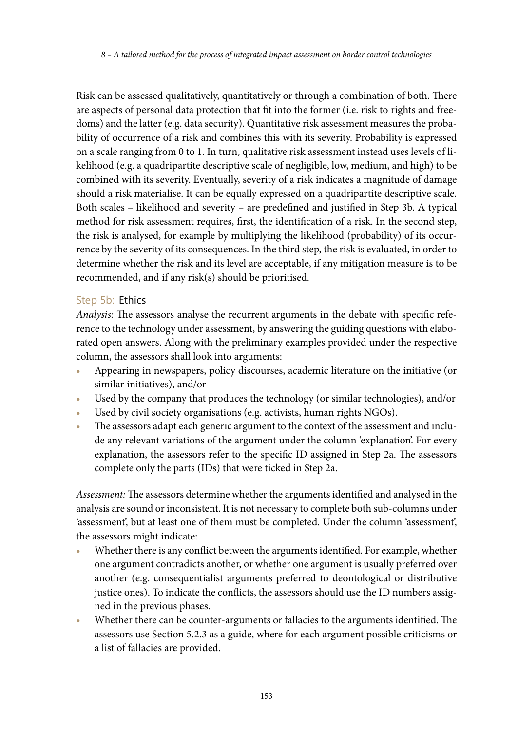Risk can be assessed qualitatively, quantitatively or through a combination of both. There are aspects of personal data protection that fit into the former (i.e. risk to rights and freedoms) and the latter (e.g. data security). Quantitative risk assessment measures the probability of occurrence of a risk and combines this with its severity. Probability is expressed on a scale ranging from 0 to 1. In turn, qualitative risk assessment instead uses levels of likelihood (e.g. a quadripartite descriptive scale of negligible, low, medium, and high) to be combined with its severity. Eventually, severity of a risk indicates a magnitude of damage should a risk materialise. It can be equally expressed on a quadripartite descriptive scale. Both scales – likelihood and severity – are predefined and justified in Step 3b. A typical method for risk assessment requires, first, the identification of a risk. In the second step, the risk is analysed, for example by multiplying the likelihood (probability) of its occurrence by the severity of its consequences. In the third step, the risk is evaluated, in order to determine whether the risk and its level are acceptable, if any mitigation measure is to be recommended, and if any risk(s) should be prioritised.

## Step 5b: Ethics

*Analysis:* The assessors analyse the recurrent arguments in the debate with specific reference to the technology under assessment, by answering the guiding questions with elaborated open answers. Along with the preliminary examples provided under the respective column, the assessors shall look into arguments:

- **•** Appearing in newspapers, policy discourses, academic literature on the initiative (or similar initiatives), and/or
- **•** Used by the company that produces the technology (or similar technologies), and/or
- Used by civil society organisations (e.g. activists, human rights NGOs).
- The assessors adapt each generic argument to the context of the assessment and include any relevant variations of the argument under the column 'explanation'. For every explanation, the assessors refer to the specific ID assigned in Step 2a. The assessors complete only the parts (IDs) that were ticked in Step 2a.

*Assessment:* The assessors determine whether the arguments identified and analysed in the analysis are sound or inconsistent. It is not necessary to complete both sub-columns under 'assessment', but at least one of them must be completed. Under the column 'assessment', the assessors might indicate:

- **•** Whether there is any conflict between the arguments identified. For example, whether one argument contradicts another, or whether one argument is usually preferred over another (e.g. consequentialist arguments preferred to deontological or distributive justice ones). To indicate the conflicts, the assessors should use the ID numbers assigned in the previous phases.
- **•** Whether there can be counter-arguments or fallacies to the arguments identified. The assessors use Section 5.2.3 as a guide, where for each argument possible criticisms or a list of fallacies are provided.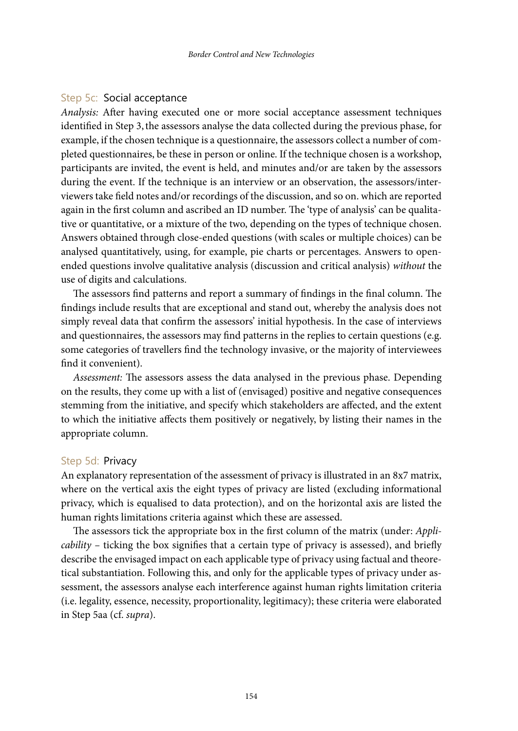#### Step 5c: Social acceptance

*Analysis:* After having executed one or more social acceptance assessment techniques identified in Step 3,the assessors analyse the data collected during the previous phase, for example, if the chosen technique is a questionnaire, the assessors collect a number of completed questionnaires, be these in person or online. If the technique chosen is a workshop, participants are invited, the event is held, and minutes and/or are taken by the assessors during the event. If the technique is an interview or an observation, the assessors/interviewers take field notes and/or recordings of the discussion, and so on. which are reported again in the first column and ascribed an ID number. The 'type of analysis' can be qualitative or quantitative, or a mixture of the two, depending on the types of technique chosen. Answers obtained through close-ended questions (with scales or multiple choices) can be analysed quantitatively, using, for example, pie charts or percentages. Answers to openended questions involve qualitative analysis (discussion and critical analysis) *without* the use of digits and calculations.

The assessors find patterns and report a summary of findings in the final column. The findings include results that are exceptional and stand out, whereby the analysis does not simply reveal data that confirm the assessors' initial hypothesis. In the case of interviews and questionnaires, the assessors may find patterns in the replies to certain questions (e.g. some categories of travellers find the technology invasive, or the majority of interviewees find it convenient).

*Assessment:* The assessors assess the data analysed in the previous phase. Depending on the results, they come up with a list of (envisaged) positive and negative consequences stemming from the initiative, and specify which stakeholders are affected, and the extent to which the initiative affects them positively or negatively, by listing their names in the appropriate column.

#### Step 5d: Privacy

An explanatory representation of the assessment of privacy is illustrated in an 8x7 matrix, where on the vertical axis the eight types of privacy are listed (excluding informational privacy, which is equalised to data protection), and on the horizontal axis are listed the human rights limitations criteria against which these are assessed.

The assessors tick the appropriate box in the first column of the matrix (under: *Applicability –* ticking the box signifies that a certain type of privacy is assessed), and briefly describe the envisaged impact on each applicable type of privacy using factual and theoretical substantiation. Following this, and only for the applicable types of privacy under assessment, the assessors analyse each interference against human rights limitation criteria (i.e. legality, essence, necessity, proportionality, legitimacy); these criteria were elaborated in Step 5aa (cf. *supra*).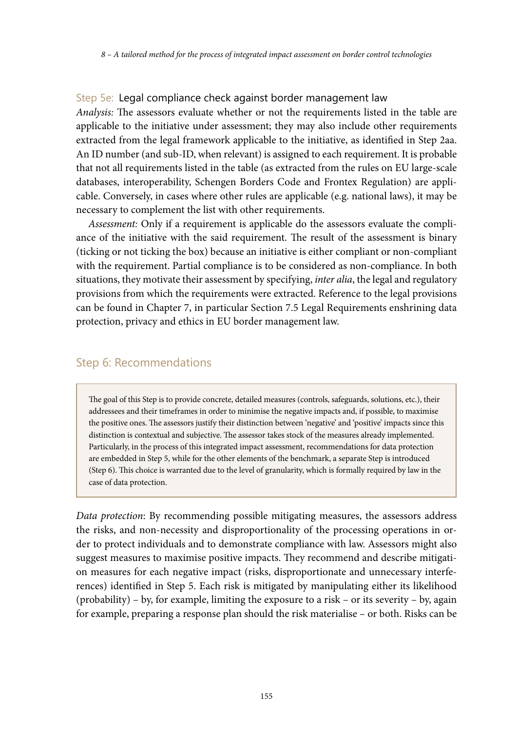#### Step 5e: Legal compliance check against border management law

*Analysis:* The assessors evaluate whether or not the requirements listed in the table are applicable to the initiative under assessment; they may also include other requirements extracted from the legal framework applicable to the initiative, as identified in Step 2aa. An ID number (and sub-ID, when relevant) is assigned to each requirement. It is probable that not all requirements listed in the table (as extracted from the rules on EU large-scale databases, interoperability, Schengen Borders Code and Frontex Regulation) are applicable. Conversely, in cases where other rules are applicable (e.g. national laws), it may be necessary to complement the list with other requirements.

*Assessment:* Only if a requirement is applicable do the assessors evaluate the compliance of the initiative with the said requirement. The result of the assessment is binary (ticking or not ticking the box) because an initiative is either compliant or non-compliant with the requirement. Partial compliance is to be considered as non-compliance. In both situations, they motivate their assessment by specifying, *inter alia*, the legal and regulatory provisions from which the requirements were extracted. Reference to the legal provisions can be found in Chapter 7, in particular Section 7.5 Legal Requirements enshrining data protection, privacy and ethics in EU border management law.

## Step 6: Recommendations

The goal of this Step is to provide concrete, detailed measures (controls, safeguards, solutions, etc.), their addressees and their timeframes in order to minimise the negative impacts and, if possible, to maximise the positive ones. The assessors justify their distinction between 'negative' and 'positive' impacts since this distinction is contextual and subjective. The assessor takes stock of the measures already implemented. Particularly, in the process of this integrated impact assessment, recommendations for data protection are embedded in Step 5, while for the other elements of the benchmark, a separate Step is introduced (Step 6). This choice is warranted due to the level of granularity, which is formally required by law in the case of data protection.

*Data protection*: By recommending possible mitigating measures, the assessors address the risks, and non-necessity and disproportionality of the processing operations in order to protect individuals and to demonstrate compliance with law. Assessors might also suggest measures to maximise positive impacts. They recommend and describe mitigation measures for each negative impact (risks, disproportionate and unnecessary interferences) identified in Step 5. Each risk is mitigated by manipulating either its likelihood  $(probability) - by, for example, limiting the exposure to a risk - or its severity - by, again$ for example, preparing a response plan should the risk materialise – or both. Risks can be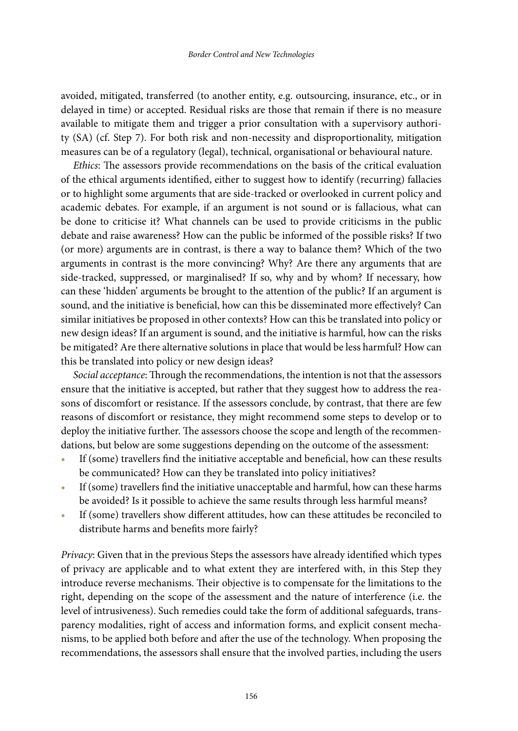avoided, mitigated, transferred (to another entity, e.g. outsourcing, insurance, etc., or in delayed in time) or accepted. Residual risks are those that remain if there is no measure available to mitigate them and trigger a prior consultation with a supervisory authority (SA) (cf. Step 7). For both risk and non-necessity and disproportionality, mitigation measures can be of a regulatory (legal), technical, organisational or behavioural nature.

*Ethics*: The assessors provide recommendations on the basis of the critical evaluation of the ethical arguments identified, either to suggest how to identify (recurring) fallacies or to highlight some arguments that are side-tracked or overlooked in current policy and academic debates. For example, if an argument is not sound or is fallacious, what can be done to criticise it? What channels can be used to provide criticisms in the public debate and raise awareness? How can the public be informed of the possible risks? If two (or more) arguments are in contrast, is there a way to balance them? Which of the two arguments in contrast is the more convincing? Why? Are there any arguments that are side-tracked, suppressed, or marginalised? If so, why and by whom? If necessary, how can these 'hidden' arguments be brought to the attention of the public? If an argument is sound, and the initiative is beneficial, how can this be disseminated more effectively? Can similar initiatives be proposed in other contexts? How can this be translated into policy or new design ideas? If an argument is sound, and the initiative is harmful, how can the risks be mitigated? Are there alternative solutions in place that would be less harmful? How can this be translated into policy or new design ideas?

*Social acceptance*: Through the recommendations, the intention is not that the assessors ensure that the initiative is accepted, but rather that they suggest how to address the reasons of discomfort or resistance. If the assessors conclude, by contrast, that there are few reasons of discomfort or resistance, they might recommend some steps to develop or to deploy the initiative further. The assessors choose the scope and length of the recommendations, but below are some suggestions depending on the outcome of the assessment:

- **•** If (some) travellers find the initiative acceptable and beneficial, how can these results be communicated? How can they be translated into policy initiatives?
- **•** If (some) travellers find the initiative unacceptable and harmful, how can these harms be avoided? Is it possible to achieve the same results through less harmful means?
- **•** If (some) travellers show different attitudes, how can these attitudes be reconciled to distribute harms and benefits more fairly?

*Privacy*: Given that in the previous Steps the assessors have already identified which types of privacy are applicable and to what extent they are interfered with, in this Step they introduce reverse mechanisms. Their objective is to compensate for the limitations to the right, depending on the scope of the assessment and the nature of interference (i.e. the level of intrusiveness). Such remedies could take the form of additional safeguards, transparency modalities, right of access and information forms, and explicit consent mechanisms, to be applied both before and after the use of the technology. When proposing the recommendations, the assessors shall ensure that the involved parties, including the users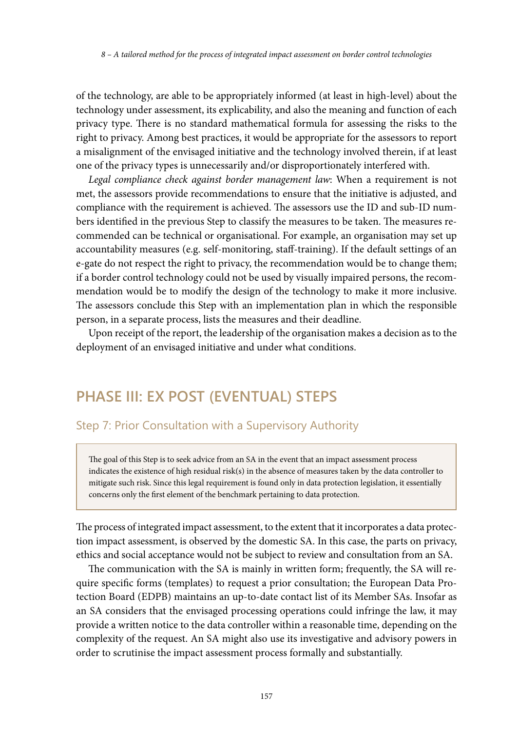of the technology, are able to be appropriately informed (at least in high-level) about the technology under assessment, its explicability, and also the meaning and function of each privacy type. There is no standard mathematical formula for assessing the risks to the right to privacy. Among best practices, it would be appropriate for the assessors to report a misalignment of the envisaged initiative and the technology involved therein, if at least one of the privacy types is unnecessarily and/or disproportionately interfered with.

*Legal compliance check against border management law*: When a requirement is not met, the assessors provide recommendations to ensure that the initiative is adjusted, and compliance with the requirement is achieved. The assessors use the ID and sub-ID numbers identified in the previous Step to classify the measures to be taken. The measures recommended can be technical or organisational. For example, an organisation may set up accountability measures (e.g. self-monitoring, staff-training). If the default settings of an e-gate do not respect the right to privacy, the recommendation would be to change them; if a border control technology could not be used by visually impaired persons, the recommendation would be to modify the design of the technology to make it more inclusive. The assessors conclude this Step with an implementation plan in which the responsible person, in a separate process, lists the measures and their deadline.

Upon receipt of the report, the leadership of the organisation makes a decision as to the deployment of an envisaged initiative and under what conditions.

# **PHASE III: EX POST (EVENTUAL) STEPS**

## Step 7: Prior Consultation with a Supervisory Authority

The goal of this Step is to seek advice from an SA in the event that an impact assessment process indicates the existence of high residual risk(s) in the absence of measures taken by the data controller to mitigate such risk. Since this legal requirement is found only in data protection legislation, it essentially concerns only the first element of the benchmark pertaining to data protection.

The process of integrated impact assessment, to the extent that it incorporates a data protection impact assessment, is observed by the domestic SA. In this case, the parts on privacy, ethics and social acceptance would not be subject to review and consultation from an SA.

The communication with the SA is mainly in written form; frequently, the SA will require specific forms (templates) to request a prior consultation; the European Data Protection Board (EDPB) maintains an up-to-date contact list of its Member SAs. Insofar as an SA considers that the envisaged processing operations could infringe the law, it may provide a written notice to the data controller within a reasonable time, depending on the complexity of the request. An SA might also use its investigative and advisory powers in order to scrutinise the impact assessment process formally and substantially.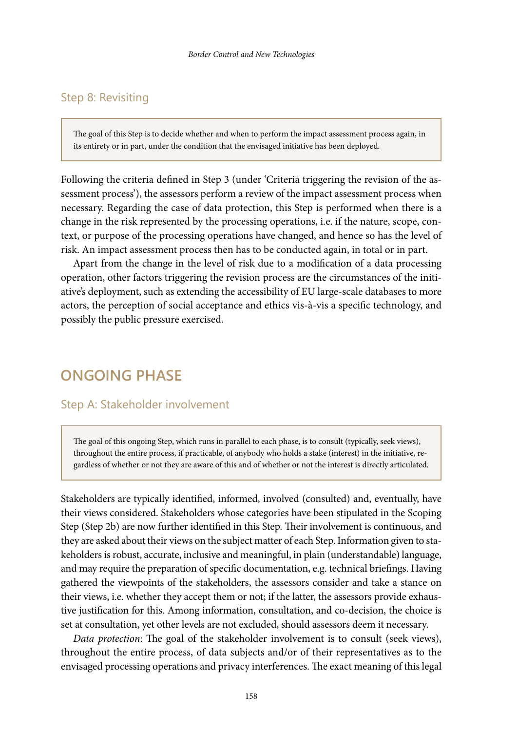# Step 8: Revisiting

The goal of this Step is to decide whether and when to perform the impact assessment process again, in its entirety or in part, under the condition that the envisaged initiative has been deployed.

Following the criteria defined in Step 3 (under 'Criteria triggering the revision of the assessment process'), the assessors perform a review of the impact assessment process when necessary. Regarding the case of data protection, this Step is performed when there is a change in the risk represented by the processing operations, i.e. if the nature, scope, context, or purpose of the processing operations have changed, and hence so has the level of risk. An impact assessment process then has to be conducted again, in total or in part.

Apart from the change in the level of risk due to a modification of a data processing operation, other factors triggering the revision process are the circumstances of the initiative's deployment, such as extending the accessibility of EU large-scale databases to more actors, the perception of social acceptance and ethics vis-à-vis a specific technology, and possibly the public pressure exercised.

# **ONGOING PHASE**

## Step A: Stakeholder involvement

The goal of this ongoing Step, which runs in parallel to each phase, is to consult (typically, seek views), throughout the entire process, if practicable, of anybody who holds a stake (interest) in the initiative, regardless of whether or not they are aware of this and of whether or not the interest is directly articulated.

Stakeholders are typically identified, informed, involved (consulted) and, eventually, have their views considered. Stakeholders whose categories have been stipulated in the Scoping Step (Step 2b) are now further identified in this Step. Their involvement is continuous, and they are asked about their views on the subject matter of each Step. Information given to stakeholders is robust, accurate, inclusive and meaningful, in plain (understandable) language, and may require the preparation of specific documentation, e.g. technical briefings. Having gathered the viewpoints of the stakeholders, the assessors consider and take a stance on their views, i.e. whether they accept them or not; if the latter, the assessors provide exhaustive justification for this. Among information, consultation, and co-decision, the choice is set at consultation, yet other levels are not excluded, should assessors deem it necessary.

*Data protection*: The goal of the stakeholder involvement is to consult (seek views), throughout the entire process, of data subjects and/or of their representatives as to the envisaged processing operations and privacy interferences. The exact meaning of this legal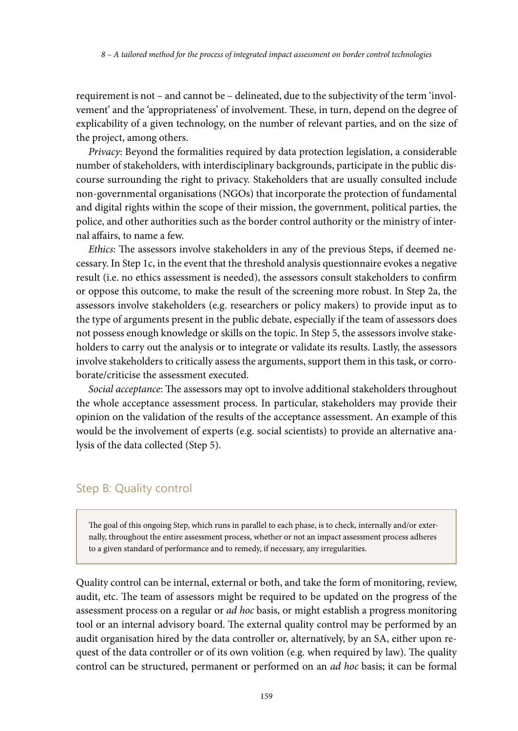requirement is not – and cannot be – delineated, due to the subjectivity of the term 'involvement' and the 'appropriateness' of involvement. These, in turn, depend on the degree of explicability of a given technology, on the number of relevant parties, and on the size of the project, among others.

*Privacy*: Beyond the formalities required by data protection legislation, a considerable number of stakeholders, with interdisciplinary backgrounds, participate in the public discourse surrounding the right to privacy. Stakeholders that are usually consulted include non-governmental organisations (NGOs) that incorporate the protection of fundamental and digital rights within the scope of their mission, the government, political parties, the police, and other authorities such as the border control authority or the ministry of internal affairs, to name a few.

*Ethics*: The assessors involve stakeholders in any of the previous Steps, if deemed necessary. In Step 1c, in the event that the threshold analysis questionnaire evokes a negative result (i.e. no ethics assessment is needed), the assessors consult stakeholders to confirm or oppose this outcome, to make the result of the screening more robust. In Step 2a, the assessors involve stakeholders (e.g. researchers or policy makers) to provide input as to the type of arguments present in the public debate, especially if the team of assessors does not possess enough knowledge or skills on the topic. In Step 5, the assessors involve stakeholders to carry out the analysis or to integrate or validate its results. Lastly, the assessors involve stakeholders to critically assess the arguments, support them in this task, or corroborate/criticise the assessment executed.

*Social acceptance*: The assessors may opt to involve additional stakeholders throughout the whole acceptance assessment process. In particular, stakeholders may provide their opinion on the validation of the results of the acceptance assessment. An example of this would be the involvement of experts (e.g. social scientists) to provide an alternative analysis of the data collected (Step 5).

## Step B: Quality control

The goal of this ongoing Step, which runs in parallel to each phase, is to check, internally and/or externally, throughout the entire assessment process, whether or not an impact assessment process adheres to a given standard of performance and to remedy, if necessary, any irregularities.

Quality control can be internal, external or both, and take the form of monitoring, review, audit, etc. The team of assessors might be required to be updated on the progress of the assessment process on a regular or *ad hoc* basis, or might establish a progress monitoring tool or an internal advisory board. The external quality control may be performed by an audit organisation hired by the data controller or, alternatively, by an SA, either upon request of the data controller or of its own volition (e.g. when required by law). The quality control can be structured, permanent or performed on an *ad hoc* basis; it can be formal